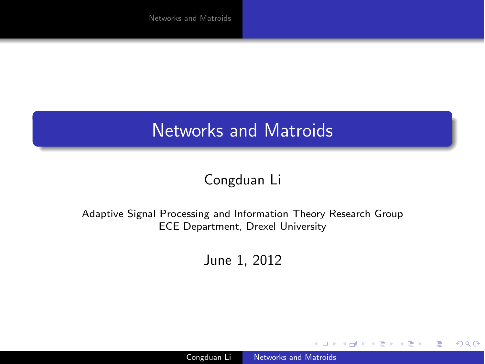### Congduan Li

#### Adaptive Signal Processing and Information Theory Research Group ECE Department, Drexel University

June 1, 2012

4 17 18

 $299$ 

<span id="page-0-0"></span>∍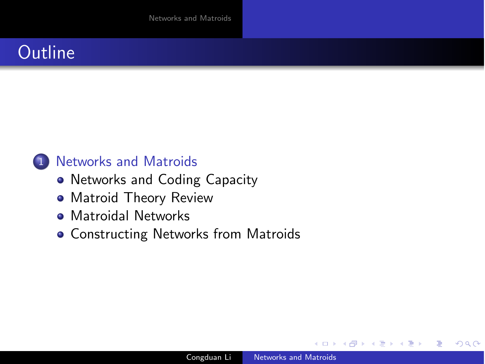### **Outline**

### 1 [Networks and Matroids](#page-2-0)

- [Networks and Coding Capacity](#page-2-0)
- [Matroid Theory Review](#page-5-0)
- **[Matroidal Networks](#page-14-0)**
- **[Constructing Networks from Matroids](#page-20-0)**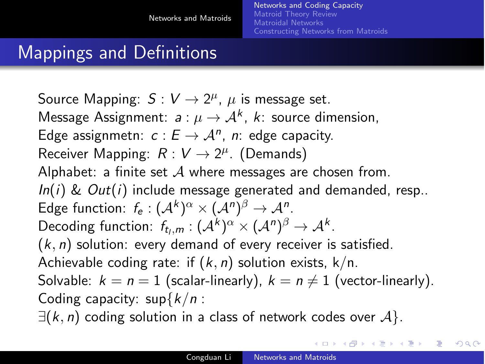# Mappings and Definitions

Source Mapping:  $S: V \to 2^{\mu}$ ,  $\mu$  is message set. Message Assignment:  $a: \mu \to A^k$ ,  $k:$  source dimension, Edge assignmetn:  $c: E \rightarrow A^n$ , *n*: edge capacity. Receiver Mapping:  $R: V \rightarrow 2^{\mu}$ . (Demands) Alphabet: a finite set *A* where messages are chosen from. *In*(*i*) & *Out*(*i*) include message generated and demanded, resp.. Edge function:  $f_e$ :  $({\cal A}^k)^\alpha \times ({\cal A}^n)^\beta \rightarrow {\cal A}^n$ . Decoding function:  $f_{t,m}: (\mathcal{A}^k)^{\alpha} \times (\mathcal{A}^n)^{\beta} \rightarrow \mathcal{A}^k$ . (*k, n*) solution: every demand of every receiver is satisfied. Achievable coding rate: if (*k, n*) solution exists, k/n. Solvable:  $k = n = 1$  (scalar-linearly),  $k = n \neq 1$  (vector-linearly). Coding capacity: sup*{k/n* : ∃(*k, n*) coding solution in a class of network codes over *A}*.

<span id="page-2-0"></span>**<何> <ミ> <ミ>**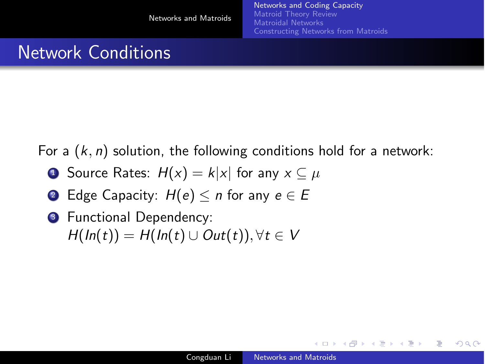### Network Conditions

For a (*k, n*) solution, the following conditions hold for a network:

- **1** Source Rates:  $H(x) = k|x|$  for any  $x \subseteq \mu$
- 2 Edge Capacity:  $H(e) \le n$  for any  $e \in E$
- **3** Functional Dependency:  $H(ln(t)) = H(ln(t) \cup Out(t)), \forall t \in V$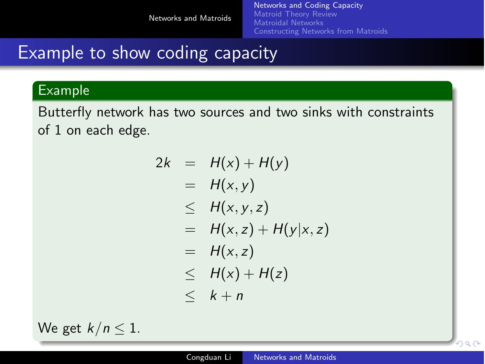[Networks and Coding Capacity](#page-2-0) [Matroid Theory Review](#page-5-0) [Matroidal Networks](#page-14-0) [Constructing Networks from Matroids](#page-20-0)

### Example to show coding capacity

### Example

Butterfly network has two sources and two sinks with constraints of 1 on each edge.

$$
2k = H(x) + H(y)
$$
  
= H(x,y)  

$$
\leq H(x,y,z)
$$
  
= H(x,z) + H(y|x,z)  
= H(x,z)  

$$
\leq H(x) + H(z)
$$
  

$$
\leq k + n
$$

We get  $k/n \leq 1$ .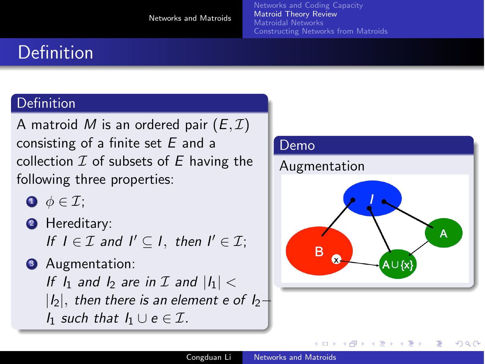# Definition

### **Definition**

A matroid M is an ordered pair  $(E, \mathcal{I})$ consisting of a finite set *E* and a collection *I* of subsets of *E* having the following three properties:

- $\bullet \phi \in \mathcal{I}$ ;
- **2** Hereditary: *If*  $I \in \mathcal{I}$  *and*  $I' \subset I$ *, then*  $I' \in \mathcal{I}$ :

**3** Augmentation: *If*  $I_1$  *and*  $I_2$  *are in*  $I$  *and*  $|I_1|$   $\lt$ *|I*2*|, then there is an element e of I*2− *I*<sup>1</sup> *such that*  $I_1$  ∪ *e* ∈  $I$ *.* 



<span id="page-5-0"></span>∢ロ ▶ ∢何 ▶ ∢ ヨ ▶ ∢ ヨ ▶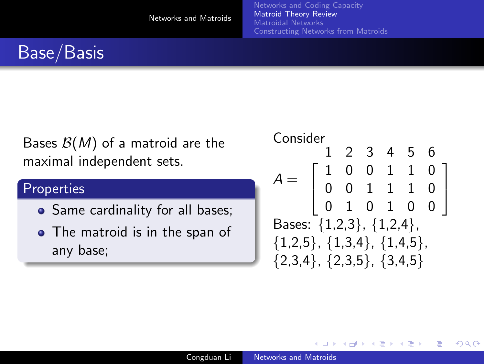[Networks and Coding Capacity](#page-2-0) [Matroid Theory Review](#page-5-0) [Matroidal Networks](#page-14-0) [Constructing Networks from Matroids](#page-20-0)

# Base/Basis

Bases *B*(*M*) of a matroid are the maximal independent sets.

### **Properties**

- Same cardinality for all bases;
- The matroid is in the span of any base;

#### Consider  $A =$ 123456  $\sqrt{ }$  $\mathbf{I}$ 10011 00111 01010 0 0 0 1  $\mathbf{I}$ Bases: *{*1,2,3*}*, *{*1,2,4*}*, *{*1,2,5*}*, *{*1,3,4*}*, *{*1,4,5*}*, *{*2,3,4*}*, *{*2,3,5*}*, *{*3,4,5*}*

す イヨ メ ヨ メ イ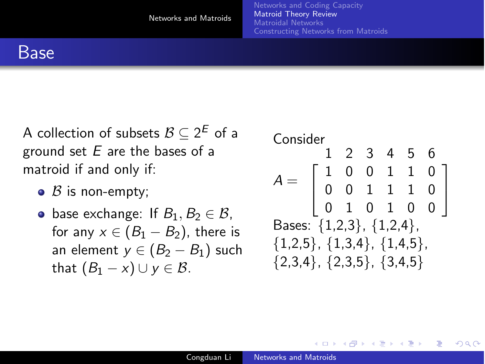### Base

A collection of subsets  $\mathcal{B} \subset 2^E$  of a ground set *E* are the bases of a matroid if and only if:

- $\bullet$  *B* is non-empty;
- **•** base exchange: If  $B_1, B_2 \in \mathcal{B}$ , for any  $x \in (B_1 - B_2)$ , there is an element  $y \in (B_2 - B_1)$  such that  $(B_1 - x) \cup y \in \mathcal{B}$ .



す イヨ メ ヨ メ イ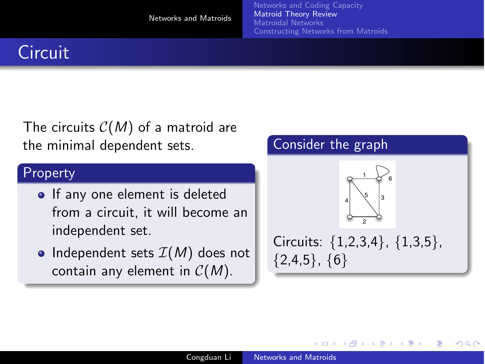[Networks and Coding Capacity](#page-2-0) [Matroid Theory Review](#page-5-0) [Matroidal Networks](#page-14-0) [Constructing Networks from Matroids](#page-20-0)

# **Circuit**

The circuits *C*(*M*) of a matroid are the minimal dependent sets.

#### Property

- If any one element is deleted from a circuit, it will become an independent set.
- Independent sets  $I(M)$  does not contain any element in *C*(*M*).

### Consider the graph

4 0 8



Circuits: *{*1,2,3,4*}*, *{*1,3,5*}*, *{*2,4,5*}*, *{*6*}*

4母 ト 4回 ト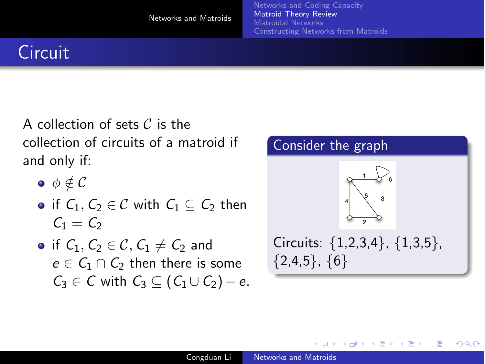# **Circuit**

A collection of sets *C* is the collection of circuits of a matroid if and only if:

- $\bullet$   $\phi \notin \mathcal{C}$
- $\bullet$  if *C*<sub>1</sub>*, C*<sub>2</sub> ∈ *C* with *C*<sub>1</sub> ⊂ *C*<sub>2</sub> then  $C_1 = C_2$
- $\bullet$  if *C*<sub>1</sub>, *C*<sub>2</sub> ∈ *C*, *C*<sub>1</sub>  $\neq$  *C*<sub>2</sub> and  $e \in C_1 \cap C_2$  then there is some *C*<sub>3</sub> ∈ *C* with  $C_3$  ⊂ ( $C_1$  ∪  $C_2$ ) − *e*.



**K 何 ▶ ス ヨ ▶** 

 $209$ 

4 0 8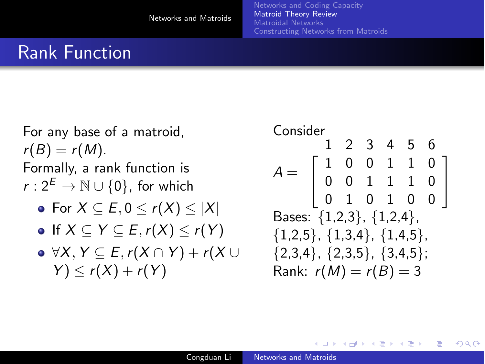# Rank Function

For any base of a matroid,  $r(B) = r(M)$ . Formally, a rank function is *r* :  $2^E$  → N ∪ {0}, for which For *X* ⊆ *E,* 0 ≤ *r*(*X*) ≤ *|X|*  $\bullet$  If  $X \subseteq Y \subseteq E$ ,  $r(X) \le r(Y)$ ∀*X, Y* ⊆ *E,r*(*X* ∩ *Y* ) + *r*(*X* ∪  $Y$  )  $\leq r(X) + r(Y)$ 

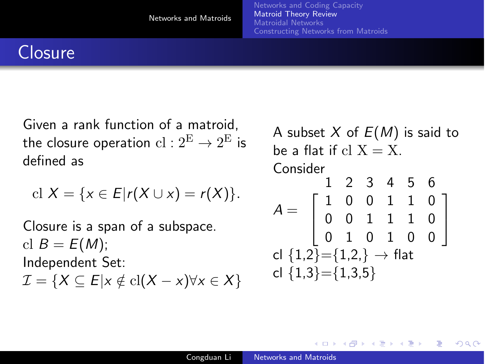### **Closure**

Given a rank function of a matroid, the closure operation  $cl: 2^E \rightarrow 2^E$  is defined as

$$
\mathrm{cl}\ X=\{x\in E|r(X\cup x)=r(X)\}.
$$

Closure is a span of a subspace. cl  $B = E(M)$ ; Independent Set:  $\mathcal{I} = \{X \subseteq E | x \notin \text{cl}(X - x) \forall x \in X\}$ 

A subset *X* of *E*(*M*) is said to be a flat if  $cl X = X$ . Consider  $A =$ 123456  $\sqrt{ }$  $\mathbf{I}$ 10011 00111 01010 0 0 0 1  $\mathbf{I}$ cl *{*1,2*}*=*{*1,2,*}* → flat cl *{*1,3*}*=*{*1,3,5*}*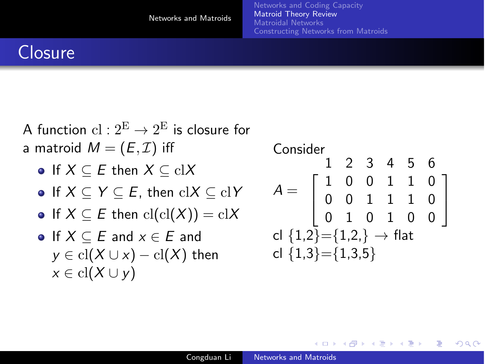> 0 0 0

1  $\overline{1}$ 

 $209$ 

### **Closure**

A function  $cl: 2^E \rightarrow 2^E$  is closure for a matroid  $M = (E, \mathcal{I})$  iff If *X* ⊆ *E* then *X* ⊆ cl*X* If *X* ⊆ *Y* ⊆ *E*, then cl*X* ⊆ cl*Y*  $\bullet$  If  $X \subseteq E$  then  $\text{cl}( \text{cl}(X)) = \text{cl}(X)$  $\bullet$  If  $X \subseteq E$  and  $x \in E$  and  $y \in \text{cl}(X \cup x) - \text{cl}(X)$  then  $x \in \text{cl}(X \cup y)$ Consider  $A =$ 123456  $\sqrt{ }$  $\overline{1}$ 10011 00111 01010 cl *{*1,2*}*=*{*1,2,*}* → flat cl *{*1,3*}*=*{*1,3,5*}*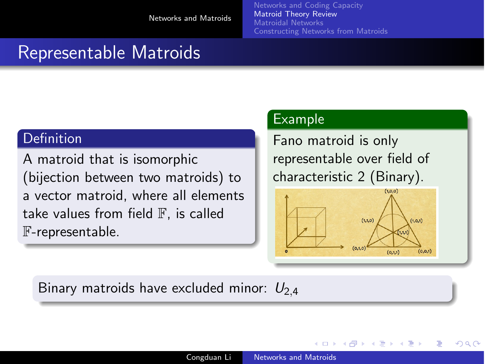### Representable Matroids

#### **Definition**

A matroid that is isomorphic (bijection between two matroids) to a vector matroid, where all elements take values from field  $\mathbb F$ , is called F-representable.

#### Example

Fano matroid is only representable over field of characteristic 2 (Binary).



**A 177 16** 

<span id="page-13-0"></span>つくへ

Binary matroids have excluded minor:  $U_{2,4}$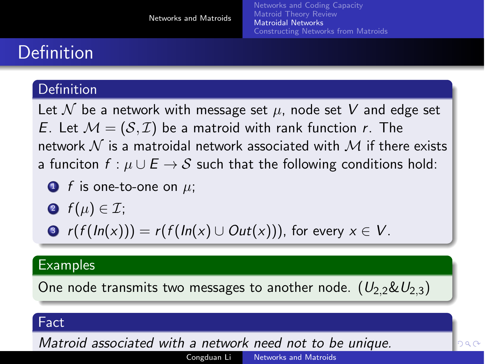# Definition

### **Definition**

Let  $N$  be a network with message set  $\mu$ , node set  $V$  and edge set *E*. Let  $M = (S, \mathcal{I})$  be a matroid with rank function *r*. The network *N* is a matroidal network associated with *M* if there exists a funciton  $f : \mu \cup E \rightarrow S$  such that the following conditions hold:

• f is one-to-one on 
$$
\mu
$$
;

$$
\bullet \ \ f(\mu) \in \mathcal{I};
$$

$$
\bullet \ \ r(f(ln(x))) = r(f(ln(x) \cup Out(x))), \text{ for every } x \in V.
$$

#### Examples

One node transmits two messages to another node.  $(U_2, \& U_2, \)$ 

#### Fact

<span id="page-14-0"></span>*Matroid associated with a network need not [to](#page-13-0) [be](#page-15-0) [un](#page-14-0)[i](#page-15-0)[q](#page-13-0)[u](#page-14-0)[e](#page-19-0)[.](#page-20-0)*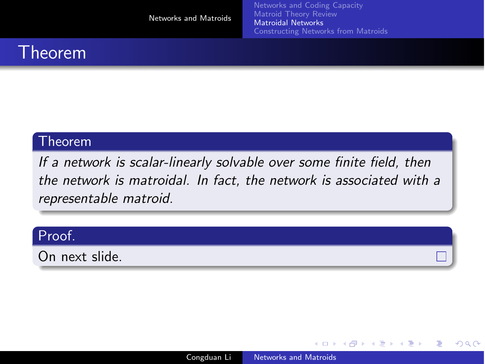[Networks and Coding Capacity](#page-2-0) [Matroidal Networks](#page-14-0) [Constructing Networks from Matroids](#page-20-0)

### Theorem

### Theorem

*If a network is scalar-linearly solvable over some finite field, then the network is matroidal. In fact, the network is associated with a representable matroid.*

#### Proof.

On next slide.

4日)

<span id="page-15-0"></span> $\Box$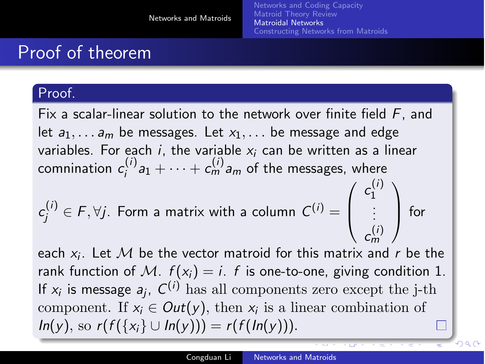# Proof of theorem

### Proof.

Fix a scalar-linear solution to the network over finite field *F*, and let  $a_1, \ldots, a_m$  be messages. Let  $x_1, \ldots$  be message and edge variables. For each *i*, the variable *x<sup>i</sup>* can be written as a linear comnination  $c_i^{(i)}a_1 + \cdots + c_m^{(i)}a_m$  of the messages, where  $c_j^{(i)} \in F, \forall j$ . Form a matrix with a column  $C^{(i)} =$  $\sqrt{ }$  $\left\lfloor \right\rfloor$  $c_1^{(i)}$ 1 . . .  $c_m^{(i)}$ *m*  $\setminus$  $\int$  for

each *xi*. Let *M* be the vector matroid for this matrix and *r* be the rank function of M.  $f(x_i) = i$ . *f* is one-to-one, giving condition 1. If  $x_i$  is message  $a_i$ ,  $C^{(i)}$  has all components zero except the j-th component. If  $x_i \in Out(y)$ , then  $x_i$  is a linear combination of *In*(*y*), so *r*(*f*({*x<sub><i>i*</sub>}</sub> ∪ *In*(*y*))) = *r*(*f*(*In*(*y*))).

 $\circ$   $\circ$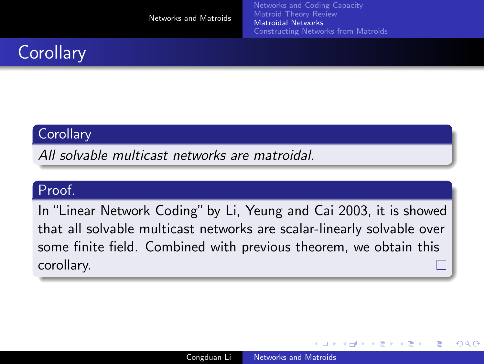[Networks and Coding Capacity](#page-2-0) [Matroid Theory Review](#page-5-0) [Matroidal Networks](#page-14-0) [Constructing Networks from Matroids](#page-20-0)

# **Corollary**

### **Corollary**

*All solvable multicast networks are matroidal.*

#### Proof.

In "Linear Network Coding" by Li, Yeung and Cai 2003, it is showed that all solvable multicast networks are scalar-linearly solvable over some finite field. Combined with previous theorem, we obtain this corollary.

4日)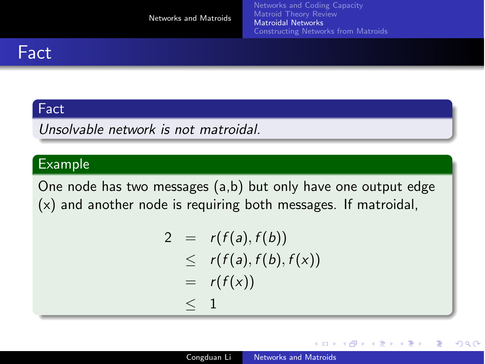## **Fact**

### Fact

*Unsolvable network is not matroidal.*

#### Example

One node has two messages (a,b) but only have one output edge (x) and another node is requiring both messages. If matroidal,

$$
2 = r(f(a), f(b))
$$
  
\n
$$
\leq r(f(a), f(b), f(x))
$$
  
\n
$$
= r(f(x))
$$
  
\n
$$
\leq 1
$$

4 0 8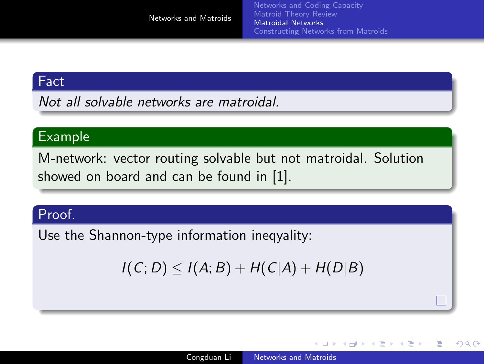#### Fact

*Not all solvable networks are matroidal.*

#### Example

M-network: vector routing solvable but not matroidal. Solution showed on board and can be found in [\[1\]](#page-24-1).

#### Proof.

Use the Shannon-type information ineqyality:

$$
I(C; D) \leq I(A; B) + H(C|A) + H(D|B)
$$

4 0 8

<span id="page-19-0"></span> $-1$   $-1$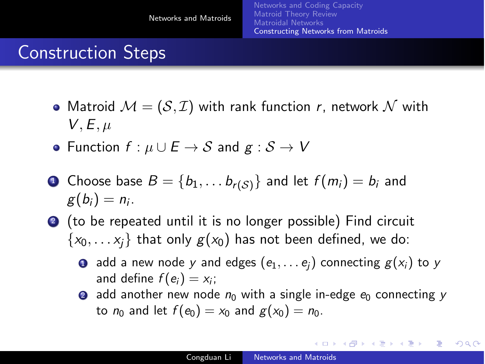# Construction Steps

• Matroid  $\mathcal{M} = (\mathcal{S}, \mathcal{I})$  with rank function *r*, network  $\mathcal N$  with  $V, E, \mu$ 

[Constructing Networks from Matroids](#page-20-0)

- $\bullet$  Function *f* :  $\mu \cup E$  →  $S$  and  $g : S \rightarrow V$
- **1** Choose base  $B = \{b_1, \ldots, b_{r(S)}\}$  and let  $f(m_i) = b_i$  and  $g(b_i) = n_i$ .
- <sup>2</sup> (to be repeated until it is no longer possible) Find circuit  $\{x_0, \ldots, x_i\}$  that only  $g(x_0)$  has not been defined, we do:
	- **0** add a new node *y* and edges  $(e_1, \ldots e_i)$  connecting  $g(x_i)$  to *y* and define  $f(e_i) = x_i$ ;
	- 2 add another new node  $n_0$  with a single in-edge  $e_0$  connecting  $\gamma$ to  $n_0$  and let  $f(e_0) = x_0$  and  $g(x_0) = n_0$ .

イロト イ押 トイヨ トイヨ トー

<span id="page-20-0"></span>目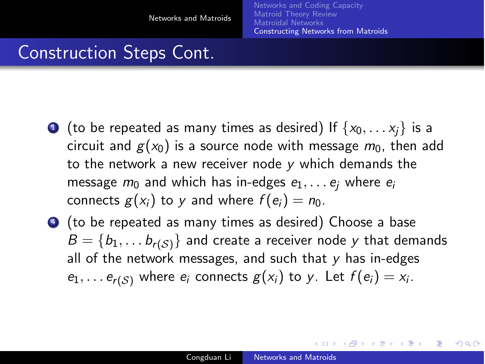### Construction Steps Cont.

- $\bullet$  (to be repeated as many times as desired) If  $\{x_0, \ldots x_i\}$  is a circuit and  $g(x_0)$  is a source node with message  $m_0$ , then add to the network a new receiver node *y* which demands the message  $m_0$  and which has in-edges  $e_1, \ldots e_i$  where  $e_i$ connects  $g(x_i)$  to y and where  $f(e_i) = n_0$ .
- <sup>4</sup> (to be repeated as many times as desired) Choose a base  $B = \{b_1, \ldots, b_{r(S)}\}$  and create a receiver node *y* that demands all of the network messages, and such that *y* has in-edges  $e_1, \ldots e_{r(S)}$  where  $e_i$  connects  $g(x_i)$  to *y*. Let  $f(e_i) = x_i$ .

イロメ イ母メ イヨメ イヨメー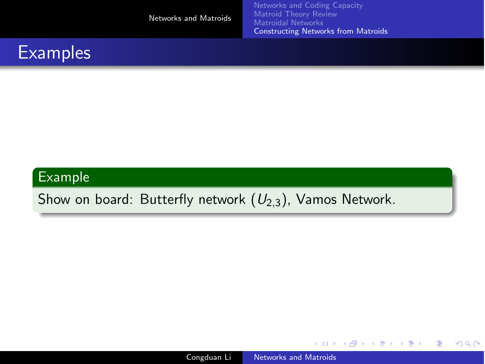| Matroid Theory Review<br>Networks and Matroids<br>Matroidal Networks<br>Constructing Networks from Matroids |  |
|-------------------------------------------------------------------------------------------------------------|--|
|-------------------------------------------------------------------------------------------------------------|--|

### **Examples**

### Example

Show on board: Butterfly network (*U*2*,*3), Vamos Network.

Congduan Li [Networks and Matroids](#page-0-0)

K 何 ▶ (王

 $\overline{a}$ 

E

∍  $\mathbf{h}$ 

**II**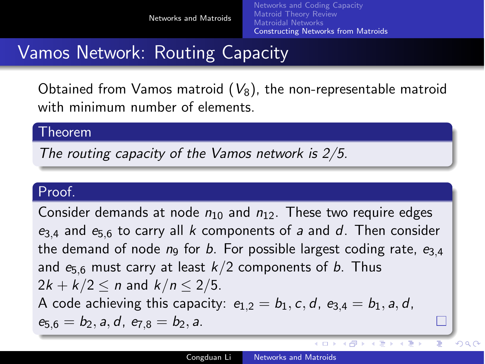## Vamos Network: Routing Capacity

Obtained from Vamos matroid  $(V_8)$ , the non-representable matroid with minimum number of elements.

#### Theorem

*The routing capacity of the Vamos network is 2/5.*

### Proof.

Consider demands at node *n*<sup>10</sup> and *n*12. These two require edges *e*3*,*<sup>4</sup> and *e*5*,*<sup>6</sup> to carry all *k* components of *a* and *d*. Then consider the demand of node  $n_9$  for *b*. For possible largest coding rate,  $e_{3,4}$ and *e*5*,*<sup>6</sup> must carry at least *k/*2 components of *b*. Thus  $2k + k/2 \le n$  and  $k/n \le 2/5$ . A code achieving this capacity:  $e_{1,2} = b_1, c, d, e_{3,4} = b_1, a, d$ , *e*5*,*<sup>6</sup> = *b*2*, a, d*, *e*7*,*<sup>8</sup> = *b*2*, a*.  $\Box$ 

 $\leftarrow$ 

す イ ヨ ト イ ラ

ヨッ